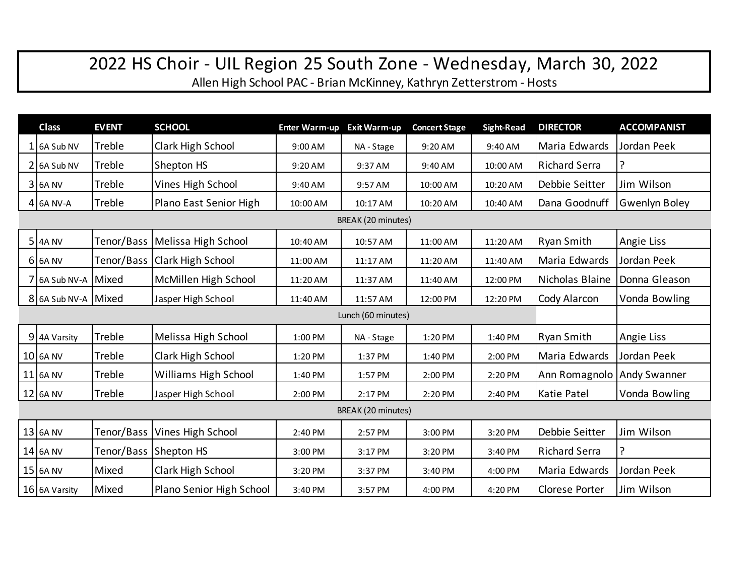## 2022 HS Choir - UIL Region 25 South Zone - Wednesday, March 30, 2022

Allen High School PAC - Brian McKinney, Kathryn Zetterstrom - Hosts

|                    | <b>Class</b>        | <b>EVENT</b> | <b>SCHOOL</b>                  | <b>Enter Warm-up</b> | <b>Exit Warm-up</b> | <b>Concert Stage</b> | <b>Sight-Read</b> | <b>DIRECTOR</b>      | <b>ACCOMPANIST</b>   |  |
|--------------------|---------------------|--------------|--------------------------------|----------------------|---------------------|----------------------|-------------------|----------------------|----------------------|--|
|                    | $1$ 6A Sub NV       | Treble       | Clark High School              | 9:00 AM              | NA - Stage          | 9:20 AM              | 9:40 AM           | Maria Edwards        | Jordan Peek          |  |
|                    | $2$ 6A Sub NV       | Treble       | Shepton HS                     | 9:20 AM              | 9:37 AM             | 9:40 AM              | 10:00 AM          | <b>Richard Serra</b> |                      |  |
|                    | $3$ 6A NV           | Treble       | Vines High School              | 9:40 AM              | 9:57 AM             | 10:00 AM             | 10:20 AM          | Debbie Seitter       | Jim Wilson           |  |
|                    | 4 6A NV-A           | Treble       | Plano East Senior High         | 10:00 AM             | 10:17 AM            | 10:20 AM             | 10:40 AM          | Dana Goodnuff        | <b>Gwenlyn Boley</b> |  |
| BREAK (20 minutes) |                     |              |                                |                      |                     |                      |                   |                      |                      |  |
|                    | 5 4A NV             | Tenor/Bass   | Melissa High School            | 10:40 AM             | 10:57 AM            | 11:00 AM             | 11:20 AM          | Ryan Smith           | Angie Liss           |  |
|                    | $6$ 6A NV           |              | Tenor/Bass   Clark High School | 11:00 AM             | 11:17 AM            | 11:20 AM             | 11:40 AM          | Maria Edwards        | Jordan Peek          |  |
|                    | 7 6A Sub NV-A Mixed |              | McMillen High School           | 11:20 AM             | 11:37 AM            | 11:40 AM             | 12:00 PM          | Nicholas Blaine      | Donna Gleason        |  |
|                    | 8 6A Sub NV-A Mixed |              | Jasper High School             | 11:40 AM             | 11:57 AM            | 12:00 PM             | 12:20 PM          | Cody Alarcon         | Vonda Bowling        |  |
| Lunch (60 minutes) |                     |              |                                |                      |                     |                      |                   |                      |                      |  |
|                    | 9 4A Varsity        | Treble       | Melissa High School            | 1:00 PM              | NA - Stage          | 1:20 PM              | 1:40 PM           | Ryan Smith           | Angie Liss           |  |
|                    | <b>10 6A NV</b>     | Treble       | Clark High School              | 1:20 PM              | 1:37 PM             | 1:40 PM              | 2:00 PM           | Maria Edwards        | Jordan Peek          |  |
|                    | 11 6A NV            | Treble       | Williams High School           | 1:40 PM              | 1:57 PM             | 2:00 PM              | 2:20 PM           | Ann Romagnolo        | <b>Andy Swanner</b>  |  |
|                    | 12 6A NV            | Treble       | Jasper High School             | 2:00 PM              | 2:17 PM             | 2:20 PM              | 2:40 PM           | Katie Patel          | Vonda Bowling        |  |
| BREAK (20 minutes) |                     |              |                                |                      |                     |                      |                   |                      |                      |  |
|                    | 13 6A NV            | Tenor/Bass   | Vines High School              | 2:40 PM              | 2:57 PM             | 3:00 PM              | 3:20 PM           | Debbie Seitter       | Jim Wilson           |  |
|                    | 14 6A NV            |              | Tenor/Bass Shepton HS          | 3:00 PM              | 3:17 PM             | 3:20 PM              | 3:40 PM           | <b>Richard Serra</b> |                      |  |
|                    | 15 6A NV            | Mixed        | Clark High School              | 3:20 PM              | 3:37 PM             | 3:40 PM              | 4:00 PM           | Maria Edwards        | Jordan Peek          |  |
|                    | 16 6A Varsity       | Mixed        | Plano Senior High School       | 3:40 PM              | 3:57 PM             | 4:00 PM              | 4:20 PM           | Clorese Porter       | Jim Wilson           |  |